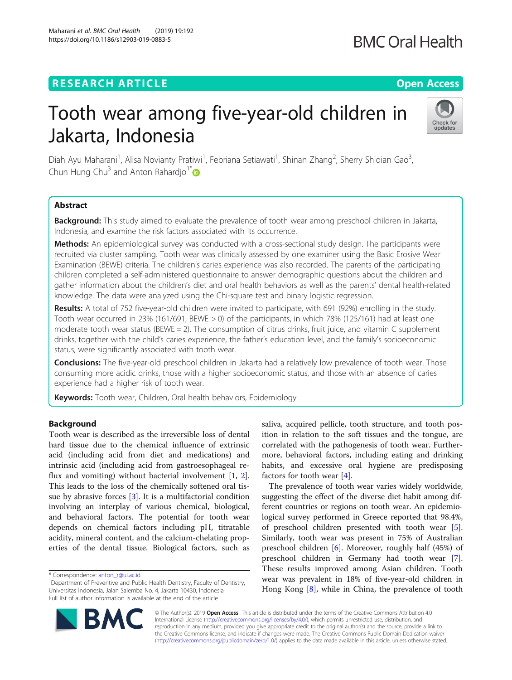# **RESEARCH ARTICLE Example 2018 12:30 THE Open Access**

Maharani et al. BMC Oral Health (2019) 19:192 https://doi.org/10.1186/s12903-019-0883-5

# Tooth wear among five-year-old children in Jakarta, Indonesia

Diah Ayu Maharani<sup>1</sup>, Alisa Novianty Pratiwi<sup>1</sup>, Febriana Setiawati<sup>1</sup>, Shinan Zhang<sup>2</sup>, Sherry Shiqian Gao<sup>3</sup> , Chun Hung Chu<sup>3</sup> and Anton Rahardjo<sup>1\*</sup>

## Abstract

Background: This study aimed to evaluate the prevalence of tooth wear among preschool children in Jakarta, Indonesia, and examine the risk factors associated with its occurrence.

Methods: An epidemiological survey was conducted with a cross-sectional study design. The participants were recruited via cluster sampling. Tooth wear was clinically assessed by one examiner using the Basic Erosive Wear Examination (BEWE) criteria. The children's caries experience was also recorded. The parents of the participating children completed a self-administered questionnaire to answer demographic questions about the children and gather information about the children's diet and oral health behaviors as well as the parents' dental health-related knowledge. The data were analyzed using the Chi-square test and binary logistic regression.

Results: A total of 752 five-year-old children were invited to participate, with 691 (92%) enrolling in the study. Tooth wear occurred in 23% (161/691, BEWE > 0) of the participants, in which 78% (125/161) had at least one moderate tooth wear status (BEWE = 2). The consumption of citrus drinks, fruit juice, and vitamin  $C$  supplement drinks, together with the child's caries experience, the father's education level, and the family's socioeconomic status, were significantly associated with tooth wear.

**Conclusions:** The five-year-old preschool children in Jakarta had a relatively low prevalence of tooth wear. Those consuming more acidic drinks, those with a higher socioeconomic status, and those with an absence of caries experience had a higher risk of tooth wear.

Keywords: Tooth wear, Children, Oral health behaviors, Epidemiology

## **Background**

Tooth wear is described as the irreversible loss of dental hard tissue due to the chemical influence of extrinsic acid (including acid from diet and medications) and intrinsic acid (including acid from gastroesophageal reflux and vomiting) without bacterial involvement [\[1](#page-6-0), [2](#page-6-0)]. This leads to the loss of the chemically softened oral tissue by abrasive forces [[3\]](#page-6-0). It is a multifactorial condition involving an interplay of various chemical, biological, and behavioral factors. The potential for tooth wear depends on chemical factors including pH, titratable acidity, mineral content, and the calcium-chelating properties of the dental tissue. Biological factors, such as

\* Correspondence: [anton\\_r@ui.ac.id](mailto:anton_r@ui.ac.id) <sup>1</sup>

saliva, acquired pellicle, tooth structure, and tooth position in relation to the soft tissues and the tongue, are correlated with the pathogenesis of tooth wear. Furthermore, behavioral factors, including eating and drinking habits, and excessive oral hygiene are predisposing factors for tooth wear [[4\]](#page-6-0).

The prevalence of tooth wear varies widely worldwide, suggesting the effect of the diverse diet habit among different countries or regions on tooth wear. An epidemiological survey performed in Greece reported that 98.4%, of preschool children presented with tooth wear [\[5](#page-6-0)]. Similarly, tooth wear was present in 75% of Australian preschool children [\[6\]](#page-6-0). Moreover, roughly half (45%) of preschool children in Germany had tooth wear [\[7](#page-6-0)]. These results improved among Asian children. Tooth wear was prevalent in 18% of five-year-old children in Hong Kong [[8\]](#page-6-0), while in China, the prevalence of tooth

© The Author(s). 2019 **Open Access** This article is distributed under the terms of the Creative Commons Attribution 4.0 International License [\(http://creativecommons.org/licenses/by/4.0/](http://creativecommons.org/licenses/by/4.0/)), which permits unrestricted use, distribution, and reproduction in any medium, provided you give appropriate credit to the original author(s) and the source, provide a link to the Creative Commons license, and indicate if changes were made. The Creative Commons Public Domain Dedication waiver [\(http://creativecommons.org/publicdomain/zero/1.0/](http://creativecommons.org/publicdomain/zero/1.0/)) applies to the data made available in this article, unless otherwise stated.





<sup>&</sup>lt;sup>1</sup>Department of Preventive and Public Health Dentistry, Faculty of Dentistry, Universitas Indonesia, Jalan Salemba No. 4, Jakarta 10430, Indonesia Full list of author information is available at the end of the article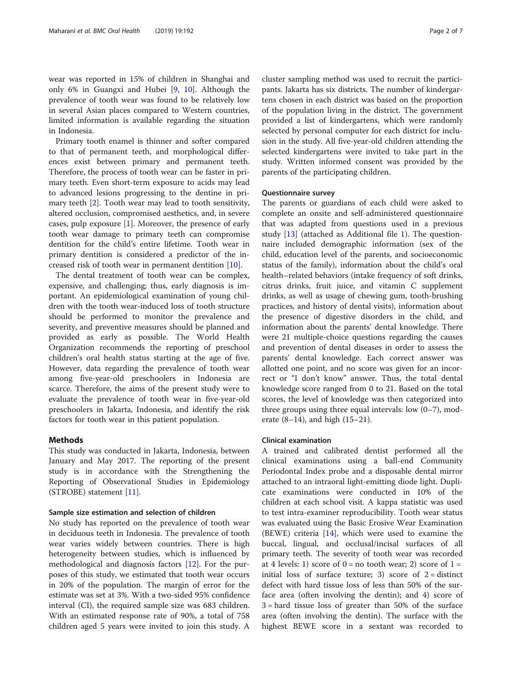wear was reported in 15% of children in Shanghai and only 6% in Guangxi and Hubei [[9,](#page-6-0) [10\]](#page-6-0). Although the prevalence of tooth wear was found to be relatively low in several Asian places compared to Western countries, limited information is available regarding the situation in Indonesia.

Primary tooth enamel is thinner and softer compared to that of permanent teeth, and morphological differences exist between primary and permanent teeth. Therefore, the process of tooth wear can be faster in primary teeth. Even short-term exposure to acids may lead to advanced lesions progressing to the dentine in primary teeth  $[2]$  $[2]$ . Tooth wear may lead to tooth sensitivity, altered occlusion, compromised aesthetics, and, in severe cases, pulp exposure [[1\]](#page-6-0). Moreover, the presence of early tooth wear damage to primary teeth can compromise dentition for the child's entire lifetime. Tooth wear in primary dentition is considered a predictor of the increased risk of tooth wear in permanent dentition [\[10\]](#page-6-0).

The dental treatment of tooth wear can be complex, expensive, and challenging; thus, early diagnosis is important. An epidemiological examination of young children with the tooth wear-induced loss of tooth structure should be performed to monitor the prevalence and severity, and preventive measures should be planned and provided as early as possible. The World Health Organization recommends the reporting of preschool children's oral health status starting at the age of five. However, data regarding the prevalence of tooth wear among five-year-old preschoolers in Indonesia are scarce. Therefore, the aims of the present study were to evaluate the prevalence of tooth wear in five-year-old preschoolers in Jakarta, Indonesia, and identify the risk factors for tooth wear in this patient population.

## Methods

This study was conducted in Jakarta, Indonesia, between January and May 2017. The reporting of the present study is in accordance with the Strengthening the Reporting of Observational Studies in Epidemiology (STROBE) statement [[11\]](#page-6-0).

## Sample size estimation and selection of children

No study has reported on the prevalence of tooth wear in deciduous teeth in Indonesia. The prevalence of tooth wear varies widely between countries. There is high heterogeneity between studies, which is influenced by methodological and diagnosis factors [[12\]](#page-6-0). For the purposes of this study, we estimated that tooth wear occurs in 20% of the population. The margin of error for the estimate was set at 3%. With a two-sided 95% confidence interval (CI), the required sample size was 683 children. With an estimated response rate of 90%, a total of 758 children aged 5 years were invited to join this study. A cluster sampling method was used to recruit the participants. Jakarta has six districts. The number of kindergartens chosen in each district was based on the proportion of the population living in the district. The government provided a list of kindergartens, which were randomly selected by personal computer for each district for inclusion in the study. All five-year-old children attending the selected kindergartens were invited to take part in the study. Written informed consent was provided by the parents of the participating children.

## Questionnaire survey

The parents or guardians of each child were asked to complete an onsite and self-administered questionnaire that was adapted from questions used in a previous study [\[13](#page-6-0)] (attached as Additional file [1](#page-6-0)). The questionnaire included demographic information (sex of the child, education level of the parents, and socioeconomic status of the family), information about the child's oral health–related behaviors (intake frequency of soft drinks, citrus drinks, fruit juice, and vitamin C supplement drinks, as well as usage of chewing gum, tooth-brushing practices, and history of dental visits), information about the presence of digestive disorders in the child, and information about the parents' dental knowledge. There were 21 multiple-choice questions regarding the causes and prevention of dental diseases in order to assess the parents' dental knowledge. Each correct answer was allotted one point, and no score was given for an incorrect or "I don't know" answer. Thus, the total dental knowledge score ranged from 0 to 21. Based on the total scores, the level of knowledge was then categorized into three groups using three equal intervals: low (0–7), moderate  $(8-14)$ , and high  $(15-21)$ .

## Clinical examination

A trained and calibrated dentist performed all the clinical examinations using a ball-end Community Periodontal Index probe and a disposable dental mirror attached to an intraoral light-emitting diode light. Duplicate examinations were conducted in 10% of the children at each school visit. A kappa statistic was used to test intra-examiner reproducibility. Tooth wear status was evaluated using the Basic Erosive Wear Examination (BEWE) criteria [[14\]](#page-6-0), which were used to examine the buccal, lingual, and occlusal/incisal surfaces of all primary teeth. The severity of tooth wear was recorded at 4 levels: 1) score of  $0 =$  no tooth wear; 2) score of  $1 =$ initial loss of surface texture; 3) score of  $2 =$  distinct defect with hard tissue loss of less than 50% of the surface area (often involving the dentin); and 4) score of 3 = hard tissue loss of greater than 50% of the surface area (often involving the dentin). The surface with the highest BEWE score in a sextant was recorded to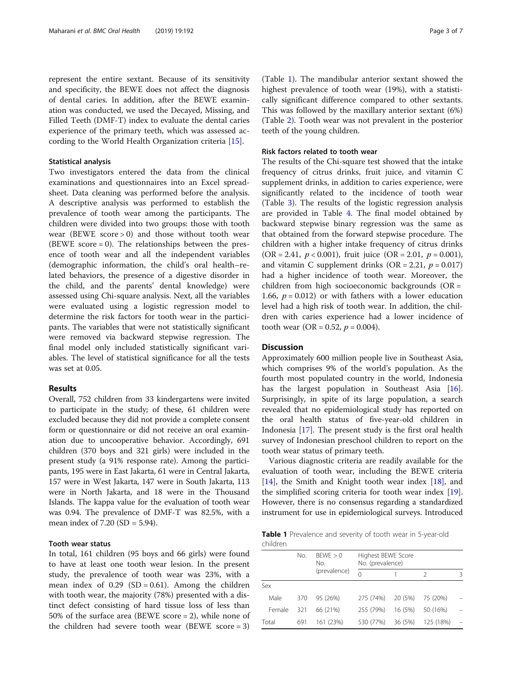represent the entire sextant. Because of its sensitivity and specificity, the BEWE does not affect the diagnosis of dental caries. In addition, after the BEWE examination was conducted, we used the Decayed, Missing, and Filled Teeth (DMF-T) index to evaluate the dental caries experience of the primary teeth, which was assessed according to the World Health Organization criteria [[15\]](#page-6-0).

#### Statistical analysis

Two investigators entered the data from the clinical examinations and questionnaires into an Excel spreadsheet. Data cleaning was performed before the analysis. A descriptive analysis was performed to establish the prevalence of tooth wear among the participants. The children were divided into two groups: those with tooth wear (BEWE score  $> 0$ ) and those without tooth wear (BEWE score  $= 0$ ). The relationships between the presence of tooth wear and all the independent variables (demographic information, the child's oral health–related behaviors, the presence of a digestive disorder in the child, and the parents' dental knowledge) were assessed using Chi-square analysis. Next, all the variables were evaluated using a logistic regression model to determine the risk factors for tooth wear in the participants. The variables that were not statistically significant were removed via backward stepwise regression. The final model only included statistically significant variables. The level of statistical significance for all the tests was set at 0.05.

## Results

Overall, 752 children from 33 kindergartens were invited to participate in the study; of these, 61 children were excluded because they did not provide a complete consent form or questionnaire or did not receive an oral examination due to uncooperative behavior. Accordingly, 691 children (370 boys and 321 girls) were included in the present study (a 91% response rate). Among the participants, 195 were in East Jakarta, 61 were in Central Jakarta, 157 were in West Jakarta, 147 were in South Jakarta, 113 were in North Jakarta, and 18 were in the Thousand Islands. The kappa value for the evaluation of tooth wear was 0.94. The prevalence of DMF-T was 82.5%, with a mean index of 7.20 (SD = 5.94).

## Tooth wear status

In total, 161 children (95 boys and 66 girls) were found to have at least one tooth wear lesion. In the present study, the prevalence of tooth wear was 23%, with a mean index of  $0.29$  (SD = 0.61). Among the children with tooth wear, the majority (78%) presented with a distinct defect consisting of hard tissue loss of less than 50% of the surface area (BEWE score = 2), while none of the children had severe tooth wear (BEWE score  $= 3$ )

(Table 1). The mandibular anterior sextant showed the highest prevalence of tooth wear (19%), with a statistically significant difference compared to other sextants. This was followed by the maxillary anterior sextant (6%) (Table [2](#page-3-0)). Tooth wear was not prevalent in the posterior teeth of the young children.

## Risk factors related to tooth wear

The results of the Chi-square test showed that the intake frequency of citrus drinks, fruit juice, and vitamin C supplement drinks, in addition to caries experience, were significantly related to the incidence of tooth wear (Table [3\)](#page-4-0). The results of the logistic regression analysis are provided in Table [4](#page-5-0). The final model obtained by backward stepwise binary regression was the same as that obtained from the forward stepwise procedure. The children with a higher intake frequency of citrus drinks (OR = 2.41,  $p < 0.001$ ), fruit juice (OR = 2.01,  $p = 0.001$ ), and vitamin C supplement drinks  $(OR = 2.21, p = 0.017)$ had a higher incidence of tooth wear. Moreover, the children from high socioeconomic backgrounds (OR = 1.66,  $p = 0.012$ ) or with fathers with a lower education level had a high risk of tooth wear. In addition, the children with caries experience had a lower incidence of tooth wear (OR = 0.52,  $p = 0.004$ ).

## **Discussion**

Approximately 600 million people live in Southeast Asia, which comprises 9% of the world's population. As the fourth most populated country in the world, Indonesia has the largest population in Southeast Asia [\[16](#page-6-0)]. Surprisingly, in spite of its large population, a search revealed that no epidemiological study has reported on the oral health status of five-year-old children in Indonesia [[17\]](#page-6-0). The present study is the first oral health survey of Indonesian preschool children to report on the tooth wear status of primary teeth.

Various diagnostic criteria are readily available for the evaluation of tooth wear, including the BEWE criteria [[14\]](#page-6-0), the Smith and Knight tooth wear index [\[18\]](#page-6-0), and the simplified scoring criteria for tooth wear index [\[19](#page-6-0)]. However, there is no consensus regarding a standardized instrument for use in epidemiological surveys. Introduced

Table 1 Prevalence and severity of tooth wear in 5-year-old children

|        | BFWF > 0<br>No.<br>No. |              | Highest BEWE Score<br>No. (prevalence) |         |           |   |
|--------|------------------------|--------------|----------------------------------------|---------|-----------|---|
|        |                        | (prevalence) | 0                                      |         | 2         | 3 |
| Sex    |                        |              |                                        |         |           |   |
| Male   | 370                    | 95 (26%)     | 275 (74%)                              | 20 (5%) | 75 (20%)  |   |
| Female | 321                    | 66 (21%)     | 255 (79%)                              | 16 (5%) | 50 (16%)  |   |
| Total  | 691                    | 161 (23%)    | 530 (77%)                              | 36 (5%) | 125 (18%) |   |
|        |                        |              |                                        |         |           |   |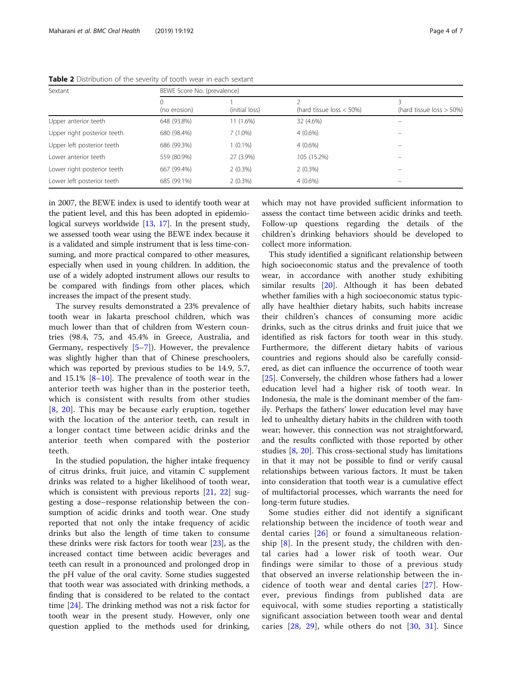| Sextant                     | BEWE Score No. (prevalence) |                |                            |                            |  |
|-----------------------------|-----------------------------|----------------|----------------------------|----------------------------|--|
|                             | 0<br>(no erosion)           | (initial loss) | (hard tissue loss $<$ 50%) | (hard tissue loss $>$ 50%) |  |
| Upper anterior teeth        | 648 (93.8%)                 | 11 (1.6%)      | 32 (4.6%)                  |                            |  |
| Upper right posterior teeth | 680 (98.4%)                 | $7(1.0\%)$     | $4(0.6\%)$                 |                            |  |
| Upper left posterior teeth  | 686 (99.3%)                 | $1(0.1\%)$     | $4(0.6\%)$                 |                            |  |
| Lower anterior teeth        | 559 (80.9%)                 | 27 (3.9%)      | 105 (15.2%)                |                            |  |
| Lower right posterior teeth | 667 (99.4%)                 | 2(0.3%)        | $2(0.3\%)$                 |                            |  |
| Lower left posterior teeth  | 685 (99.1%)                 | $2(0.3\%)$     | $4(0.6\%)$                 |                            |  |

<span id="page-3-0"></span>Table 2 Distribution of the severity of tooth wear in each sextant

in 2007, the BEWE index is used to identify tooth wear at the patient level, and this has been adopted in epidemiological surveys worldwide [[13,](#page-6-0) [17](#page-6-0)]. In the present study, we assessed tooth wear using the BEWE index because it is a validated and simple instrument that is less time-consuming, and more practical compared to other measures, especially when used in young children. In addition, the use of a widely adopted instrument allows our results to be compared with findings from other places, which increases the impact of the present study.

The survey results demonstrated a 23% prevalence of tooth wear in Jakarta preschool children, which was much lower than that of children from Western countries (98.4, 75, and 45.4% in Greece, Australia, and Germany, respectively [[5](#page-6-0)–[7\]](#page-6-0)). However, the prevalence was slightly higher than that of Chinese preschoolers, which was reported by previous studies to be 14.9, 5.7, and  $15.1\%$  [[8](#page-6-0)-[10](#page-6-0)]. The prevalence of tooth wear in the anterior teeth was higher than in the posterior teeth, which is consistent with results from other studies [[8](#page-6-0), [20\]](#page-6-0). This may be because early eruption, together with the location of the anterior teeth, can result in a longer contact time between acidic drinks and the anterior teeth when compared with the posterior teeth.

In the studied population, the higher intake frequency of citrus drinks, fruit juice, and vitamin C supplement drinks was related to a higher likelihood of tooth wear, which is consistent with previous reports [\[21](#page-6-0), [22\]](#page-6-0) suggesting a dose–response relationship between the consumption of acidic drinks and tooth wear. One study reported that not only the intake frequency of acidic drinks but also the length of time taken to consume these drinks were risk factors for tooth wear [[23](#page-6-0)], as the increased contact time between acidic beverages and teeth can result in a pronounced and prolonged drop in the pH value of the oral cavity. Some studies suggested that tooth wear was associated with drinking methods, a finding that is considered to be related to the contact time [\[24](#page-6-0)]. The drinking method was not a risk factor for tooth wear in the present study. However, only one question applied to the methods used for drinking, which may not have provided sufficient information to assess the contact time between acidic drinks and teeth. Follow-up questions regarding the details of the children's drinking behaviors should be developed to collect more information.

This study identified a significant relationship between high socioeconomic status and the prevalence of tooth wear, in accordance with another study exhibiting similar results [\[20](#page-6-0)]. Although it has been debated whether families with a high socioeconomic status typically have healthier dietary habits, such habits increase their children's chances of consuming more acidic drinks, such as the citrus drinks and fruit juice that we identified as risk factors for tooth wear in this study. Furthermore, the different dietary habits of various countries and regions should also be carefully considered, as diet can influence the occurrence of tooth wear [[25\]](#page-6-0). Conversely, the children whose fathers had a lower education level had a higher risk of tooth wear. In Indonesia, the male is the dominant member of the family. Perhaps the fathers' lower education level may have led to unhealthy dietary habits in the children with tooth wear; however, this connection was not straightforward, and the results conflicted with those reported by other studies [\[8](#page-6-0), [20\]](#page-6-0). This cross-sectional study has limitations in that it may not be possible to find or verify causal relationships between various factors. It must be taken into consideration that tooth wear is a cumulative effect of multifactorial processes, which warrants the need for long-term future studies.

Some studies either did not identify a significant relationship between the incidence of tooth wear and dental caries [[26\]](#page-6-0) or found a simultaneous relationship  $[8]$  $[8]$ . In the present study, the children with dental caries had a lower risk of tooth wear. Our findings were similar to those of a previous study that observed an inverse relationship between the incidence of tooth wear and dental caries [[27](#page-6-0)]. However, previous findings from published data are equivocal, with some studies reporting a statistically significant association between tooth wear and dental caries  $[28, 29]$  $[28, 29]$  $[28, 29]$  $[28, 29]$  $[28, 29]$ , while others do not  $[30, 31]$  $[30, 31]$  $[30, 31]$  $[30, 31]$ . Since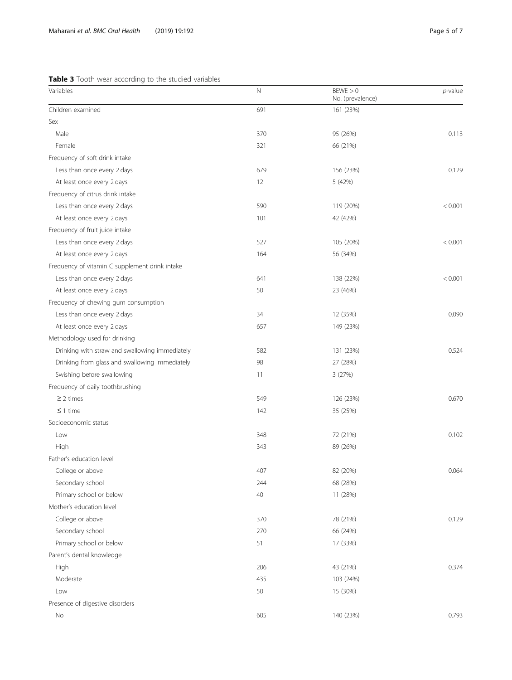# <span id="page-4-0"></span>Table 3 Tooth wear according to the studied variables

| Variables                                      | N   | BEWE > 0<br>No. (prevalence) | $p$ -value |
|------------------------------------------------|-----|------------------------------|------------|
| Children examined                              | 691 | 161 (23%)                    |            |
| Sex                                            |     |                              |            |
| Male                                           | 370 | 95 (26%)                     | 0.113      |
| Female                                         | 321 | 66 (21%)                     |            |
| Frequency of soft drink intake                 |     |                              |            |
| Less than once every 2 days                    | 679 | 156 (23%)                    | 0.129      |
| At least once every 2 days                     | 12  | 5 (42%)                      |            |
| Frequency of citrus drink intake               |     |                              |            |
| Less than once every 2 days                    | 590 | 119 (20%)                    | < 0.001    |
| At least once every 2 days                     | 101 | 42 (42%)                     |            |
| Frequency of fruit juice intake                |     |                              |            |
| Less than once every 2 days                    | 527 | 105 (20%)                    | < 0.001    |
| At least once every 2 days                     | 164 | 56 (34%)                     |            |
| Frequency of vitamin C supplement drink intake |     |                              |            |
| Less than once every 2 days                    | 641 | 138 (22%)                    | < 0.001    |
| At least once every 2 days                     | 50  | 23 (46%)                     |            |
| Frequency of chewing gum consumption           |     |                              |            |
| Less than once every 2 days                    | 34  | 12 (35%)                     | 0.090      |
| At least once every 2 days                     | 657 | 149 (23%)                    |            |
| Methodology used for drinking                  |     |                              |            |
| Drinking with straw and swallowing immediately | 582 | 131 (23%)                    | 0.524      |
| Drinking from glass and swallowing immediately | 98  | 27 (28%)                     |            |
| Swishing before swallowing                     | 11  | 3 (27%)                      |            |
| Frequency of daily toothbrushing               |     |                              |            |
| $\geq$ 2 times                                 | 549 | 126 (23%)                    | 0.670      |
| $\leq$ 1 time                                  | 142 | 35 (25%)                     |            |
| Socioeconomic status                           |     |                              |            |
| Low                                            | 348 | 72 (21%)                     | 0.102      |
| High                                           | 343 | 89 (26%)                     |            |
| Father's education level                       |     |                              |            |
| College or above                               | 407 | 82 (20%)                     | 0.064      |
| Secondary school                               | 244 | 68 (28%)                     |            |
| Primary school or below                        | 40  | 11 (28%)                     |            |
| Mother's education level                       |     |                              |            |
| College or above                               | 370 | 78 (21%)                     | 0.129      |
| Secondary school                               | 270 | 66 (24%)                     |            |
| Primary school or below                        | 51  | 17 (33%)                     |            |
| Parent's dental knowledge                      |     |                              |            |
| High                                           | 206 | 43 (21%)                     | 0.374      |
| Moderate                                       | 435 | 103 (24%)                    |            |
| Low                                            | 50  | 15 (30%)                     |            |
| Presence of digestive disorders                |     |                              |            |
| No                                             | 605 | 140 (23%)                    | 0.793      |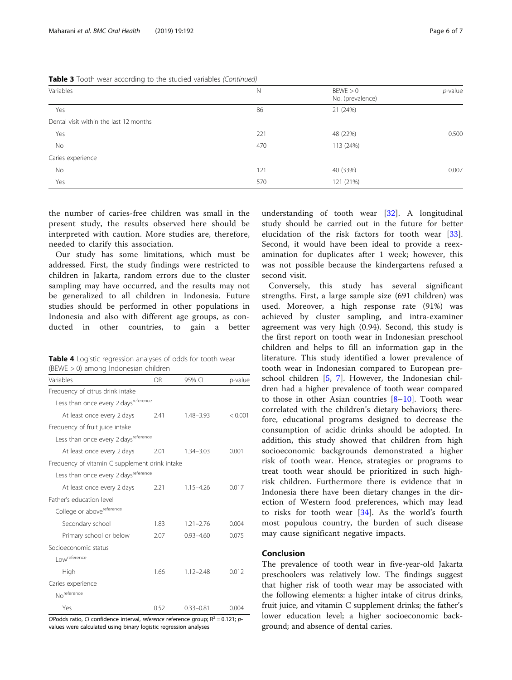<span id="page-5-0"></span>Table 3 Tooth wear according to the studied variables (Continued)

| Variables                              | Ν   | BEWE > 0<br>No. (prevalence) | $p$ -value |
|----------------------------------------|-----|------------------------------|------------|
| Yes                                    | 86  | 21 (24%)                     |            |
| Dental visit within the last 12 months |     |                              |            |
| Yes                                    | 221 | 48 (22%)                     | 0.500      |
| No                                     | 470 | 113 (24%)                    |            |
| Caries experience                      |     |                              |            |
| No                                     | 121 | 40 (33%)                     | 0.007      |
| Yes                                    | 570 | 121 (21%)                    |            |

the number of caries-free children was small in the present study, the results observed here should be interpreted with caution. More studies are, therefore, needed to clarify this association.

Our study has some limitations, which must be addressed. First, the study findings were restricted to children in Jakarta, random errors due to the cluster sampling may have occurred, and the results may not be generalized to all children in Indonesia. Future studies should be performed in other populations in Indonesia and also with different age groups, as conducted in other countries, to gain a better

Table 4 Logistic regression analyses of odds for tooth wear (BEWE > 0) among Indonesian children

| Variables                                        | OR.  | 95% CI        | p-value |
|--------------------------------------------------|------|---------------|---------|
| Frequency of citrus drink intake                 |      |               |         |
| Less than once every 2 days <sup>reference</sup> |      |               |         |
| At least once every 2 days                       | 2.41 | $1.48 - 3.93$ | < 0.001 |
| Frequency of fruit juice intake                  |      |               |         |
| Less than once every 2 days <sup>reference</sup> |      |               |         |
| At least once every 2 days                       | 2.01 | $1.34 - 3.03$ | 0.001   |
| Frequency of vitamin C supplement drink intake   |      |               |         |
| Less than once every 2 days <sup>reference</sup> |      |               |         |
| At least once every 2 days                       | 2.21 | $1.15 - 4.26$ | 0.017   |
| Father's education level                         |      |               |         |
| College or above <sup>reference</sup>            |      |               |         |
| Secondary school                                 | 1.83 | $1.21 - 2.76$ | 0.004   |
| Primary school or below                          | 2.07 | $0.93 - 4.60$ | 0.075   |
| Socioeconomic status                             |      |               |         |
| Lowreference                                     |      |               |         |
| High                                             | 1.66 | $1.12 - 2.48$ | 0.012   |
| Caries experience                                |      |               |         |
| No <sup>reference</sup>                          |      |               |         |
| Yes                                              | 0.52 | $0.33 - 0.81$ | 0.004   |

ORodds ratio, CI confidence interval, reference reference group;  $R^2 = 0.121$ ; pvalues were calculated using binary logistic regression analyses

understanding of tooth wear  $[32]$  $[32]$  $[32]$ . A longitudinal study should be carried out in the future for better elucidation of the risk factors for tooth wear [\[33](#page-6-0)]. Second, it would have been ideal to provide a reexamination for duplicates after 1 week; however, this was not possible because the kindergartens refused a second visit.

Conversely, this study has several significant strengths. First, a large sample size (691 children) was used. Moreover, a high response rate (91%) was achieved by cluster sampling, and intra-examiner agreement was very high (0.94). Second, this study is the first report on tooth wear in Indonesian preschool children and helps to fill an information gap in the literature. This study identified a lower prevalence of tooth wear in Indonesian compared to European preschool children [[5,](#page-6-0) [7](#page-6-0)]. However, the Indonesian children had a higher prevalence of tooth wear compared to those in other Asian countries [[8](#page-6-0)–[10\]](#page-6-0). Tooth wear correlated with the children's dietary behaviors; therefore, educational programs designed to decrease the consumption of acidic drinks should be adopted. In addition, this study showed that children from high socioeconomic backgrounds demonstrated a higher risk of tooth wear. Hence, strategies or programs to treat tooth wear should be prioritized in such highrisk children. Furthermore there is evidence that in Indonesia there have been dietary changes in the direction of Western food preferences, which may lead to risks for tooth wear [\[34](#page-6-0)]. As the world's fourth most populous country, the burden of such disease may cause significant negative impacts.

## Conclusion

The prevalence of tooth wear in five-year-old Jakarta preschoolers was relatively low. The findings suggest that higher risk of tooth wear may be associated with the following elements: a higher intake of citrus drinks, fruit juice, and vitamin C supplement drinks; the father's lower education level; a higher socioeconomic background; and absence of dental caries.